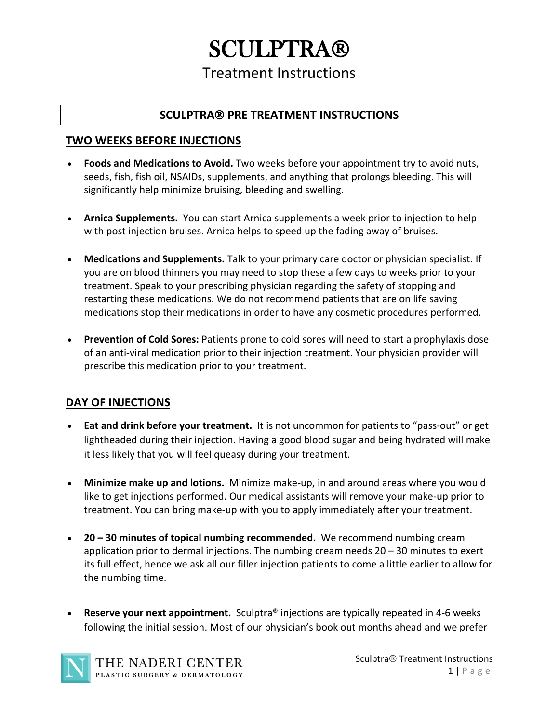# **SCULPTRA®**

# Treatment Instructions

#### **SCULPTRA PRE TREATMENT INSTRUCTIONS**

#### **TWO WEEKS BEFORE INJECTIONS**

- **Foods and Medications to Avoid.** Two weeks before your appointment try to avoid nuts, seeds, fish, fish oil, NSAIDs, supplements, and anything that prolongs bleeding. This will significantly help minimize bruising, bleeding and swelling.
- **Arnica Supplements.** You can start Arnica supplements a week prior to injection to help with post injection bruises. Arnica helps to speed up the fading away of bruises.
- **Medications and Supplements.** Talk to your primary care doctor or physician specialist. If you are on blood thinners you may need to stop these a few days to weeks prior to your treatment. Speak to your prescribing physician regarding the safety of stopping and restarting these medications. We do not recommend patients that are on life saving medications stop their medications in order to have any cosmetic procedures performed.
- **Prevention of Cold Sores:** Patients prone to cold sores will need to start a prophylaxis dose of an anti-viral medication prior to their injection treatment. Your physician provider will prescribe this medication prior to your treatment.

#### **DAY OF INJECTIONS**

- **Eat and drink before your treatment.** It is not uncommon for patients to "pass-out" or get lightheaded during their injection. Having a good blood sugar and being hydrated will make it less likely that you will feel queasy during your treatment.
- **Minimize make up and lotions.** Minimize make-up, in and around areas where you would like to get injections performed. Our medical assistants will remove your make-up prior to treatment. You can bring make-up with you to apply immediately after your treatment.
- **20 – 30 minutes of topical numbing recommended.** We recommend numbing cream application prior to dermal injections. The numbing cream needs 20 – 30 minutes to exert its full effect, hence we ask all our filler injection patients to come a little earlier to allow for the numbing time.
- **Reserve your next appointment.** Sculptra® injections are typically repeated in 4-6 weeks following the initial session. Most of our physician's book out months ahead and we prefer

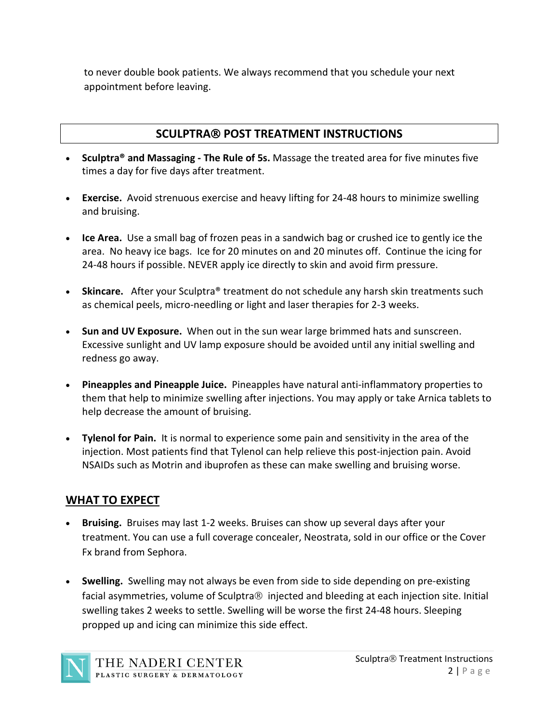to never double book patients. We always recommend that you schedule your next appointment before leaving.

## **SCULPTRA POST TREATMENT INSTRUCTIONS**

- **Sculptra® and Massaging - The Rule of 5s.** Massage the treated area for five minutes five times a day for five days after treatment.
- **Exercise.** Avoid strenuous exercise and heavy lifting for 24-48 hours to minimize swelling and bruising.
- **Ice Area.** Use a small bag of frozen peas in a sandwich bag or crushed ice to gently ice the area. No heavy ice bags. Ice for 20 minutes on and 20 minutes off. Continue the icing for 24-48 hours if possible. NEVER apply ice directly to skin and avoid firm pressure.
- **Skincare.** After your Sculptra® treatment do not schedule any harsh skin treatments such as chemical peels, micro-needling or light and laser therapies for 2-3 weeks.
- **Sun and UV Exposure.** When out in the sun wear large brimmed hats and sunscreen. Excessive sunlight and UV lamp exposure should be avoided until any initial swelling and redness go away.
- **Pineapples and Pineapple Juice.** Pineapples have natural anti-inflammatory properties to them that help to minimize swelling after injections. You may apply or take Arnica tablets to help decrease the amount of bruising.
- **Tylenol for Pain.** It is normal to experience some pain and sensitivity in the area of the injection. Most patients find that Tylenol can help relieve this post-injection pain. Avoid NSAIDs such as Motrin and ibuprofen as these can make swelling and bruising worse.

## **WHAT TO EXPECT**

- **Bruising.** Bruises may last 1-2 weeks. Bruises can show up several days after your treatment. You can use a full coverage concealer, Neostrata, sold in our office or the Cover Fx brand from Sephora.
- **Swelling.** Swelling may not always be even from side to side depending on pre-existing facial asymmetries, volume of Sculptra® injected and bleeding at each injection site. Initial swelling takes 2 weeks to settle. Swelling will be worse the first 24-48 hours. Sleeping propped up and icing can minimize this side effect.